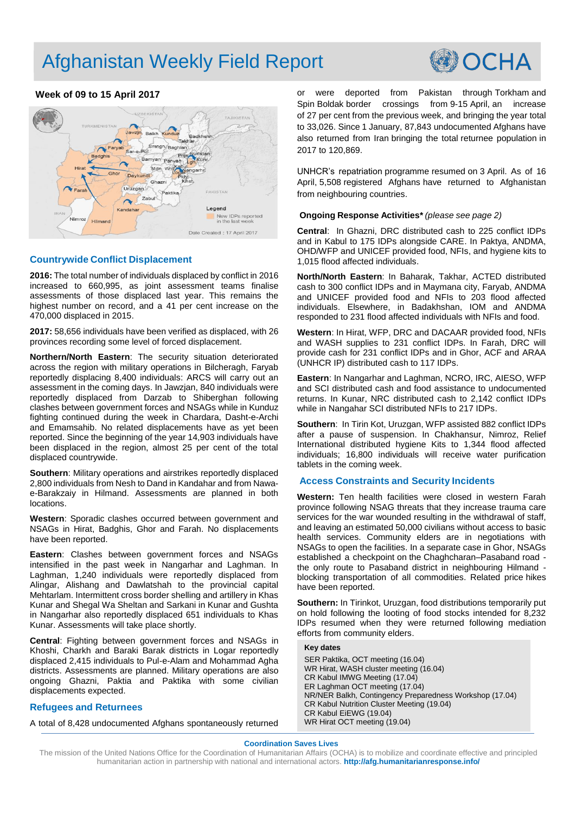# Afghanistan Weekly Field Report



### **Week of 09 to 15 April 2017**



#### **Countrywide Conflict Displacement**

**2016:** The total number of individuals displaced by conflict in 2016 increased to 660,995, as joint assessment teams finalise assessments of those displaced last year. This remains the highest number on record, and a 41 per cent increase on the 470,000 displaced in 2015.

**2017:** 58,656 individuals have been verified as displaced, with 26 provinces recording some level of forced displacement.

**Northern/North Eastern**: The security situation deteriorated across the region with military operations in Bilcheragh, Faryab reportedly displacing 8,400 individuals: ARCS will carry out an assessment in the coming days. In Jawzjan, 840 individuals were reportedly displaced from Darzab to Shiberghan following clashes between government forces and NSAGs while in Kunduz fighting continued during the week in Chardara, Dasht-e-Archi and Emamsahib. No related displacements have as yet been reported. Since the beginning of the year 14,903 individuals have been displaced in the region, almost 25 per cent of the total displaced countrywide.

**Southern**: Military operations and airstrikes reportedly displaced 2,800 individuals from Nesh to Dand in Kandahar and from Nawae-Barakzaiy in Hilmand. Assessments are planned in both locations.

**Western**: Sporadic clashes occurred between government and NSAGs in Hirat, Badghis, Ghor and Farah. No displacements have been reported.

**Eastern**: Clashes between government forces and NSAGs intensified in the past week in Nangarhar and Laghman. In Laghman, 1,240 individuals were reportedly displaced from Alingar, Alishang and Dawlatshah to the provincial capital Mehtarlam. Intermittent cross border shelling and artillery in Khas Kunar and Shegal Wa Sheltan and Sarkani in Kunar and Gushta in Nangarhar also reportedly displaced 651 individuals to Khas Kunar. Assessments will take place shortly.

**Central**: Fighting between government forces and NSAGs in Khoshi, Charkh and Baraki Barak districts in Logar reportedly displaced 2,415 individuals to Pul-e-Alam and Mohammad Agha districts. Assessments are planned. Military operations are also ongoing Ghazni, Paktia and Paktika with some civilian displacements expected.

#### **Refugees and Returnees**

A total of 8,428 undocumented Afghans spontaneously returned

or were deported from Pakistan through Torkham and Spin Boldak border crossings from 9-15 April, an increase of 27 per cent from the previous week, and bringing the year total to 33,026. Since 1 January, 87,843 undocumented Afghans have also returned from Iran bringing the total returnee population in 2017 to 120,869.

UNHCR's repatriation programme resumed on 3 April. As of 16 April, 5,508 registered Afghans have returned to Afghanistan from neighbouring countries.

#### **Ongoing Response Activities\*** *(please see page 2)*

**Central**: In Ghazni, DRC distributed cash to 225 conflict IDPs and in Kabul to 175 IDPs alongside CARE. In Paktya, ANDMA, OHD/WFP and UNICEF provided food, NFIs, and hygiene kits to 1,015 flood affected individuals.

**North/North Eastern**: In Baharak, Takhar, ACTED distributed cash to 300 conflict IDPs and in Maymana city, Faryab, ANDMA and UNICEF provided food and NFIs to 203 flood affected individuals. Elsewhere, in Badakhshan, IOM and ANDMA responded to 231 flood affected individuals with NFIs and food.

**Western**: In Hirat, WFP, DRC and DACAAR provided food, NFIs and WASH supplies to 231 conflict IDPs. In Farah, DRC will provide cash for 231 conflict IDPs and in Ghor, ACF and ARAA (UNHCR IP) distributed cash to 117 IDPs.

**Eastern**: In Nangarhar and Laghman, NCRO, IRC, AIESO, WFP and SCI distributed cash and food assistance to undocumented returns. In Kunar, NRC distributed cash to 2,142 conflict IDPs while in Nangahar SCI distributed NFIs to 217 IDPs.

**Southern**: In Tirin Kot, Uruzgan, WFP assisted 882 conflict IDPs after a pause of suspension. In Chakhansur, Nimroz, Relief International distributed hygiene Kits to 1,344 flood affected individuals; 16,800 individuals will receive water purification tablets in the coming week.

#### **Access Constraints and Security Incidents**

**Western:** Ten health facilities were closed in western Farah province following NSAG threats that they increase trauma care services for the war wounded resulting in the withdrawal of staff, and leaving an estimated 50,000 civilians without access to basic health services. Community elders are in negotiations with NSAGs to open the facilities. In a separate case in Ghor, NSAGs established a checkpoint on the Chaghcharan–Pasaband road the only route to Pasaband district in neighbouring Hilmand blocking transportation of all commodities. Related price hikes have been reported.

**Southern:** In Tirinkot, Uruzgan, food distributions temporarily put on hold following the looting of food stocks intended for 8,232 IDPs resumed when they were returned following mediation efforts from community elders.

#### **Key dates**

SER Paktika, OCT meeting (16.04) WR Hirat, WASH cluster meeting (16.04) CR Kabul IMWG Meeting (17.04) ER Laghman OCT meeting (17.04) NR/NER Balkh, Contingency Preparedness Workshop (17.04) CR Kabul Nutrition Cluster Meeting (19.04) CR Kabul EiEWG (19.04) WR Hirat OCT meeting (19.04)

#### **Coordination Saves Lives**

The mission of the United Nations Office for the Coordination of Humanitarian Affairs (OCHA) is to mobilize and coordinate effective and principled humanitarian action in partnership with national and international actors. **<http://afg.humanitarianresponse.info/>**